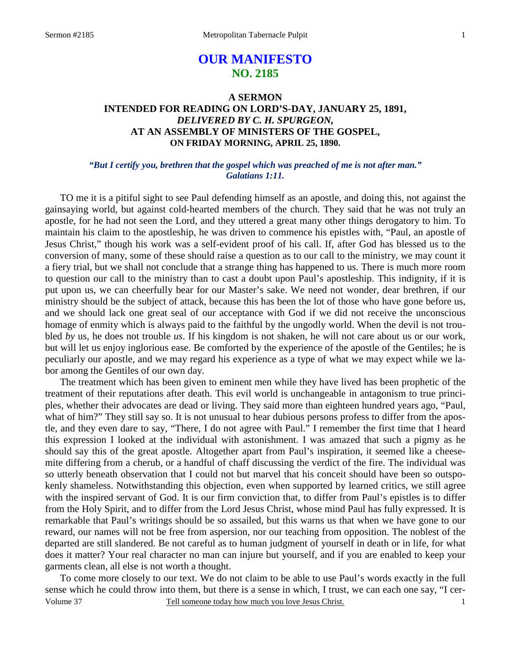# **OUR MANIFESTO NO. 2185**

## **A SERMON INTENDED FOR READING ON LORD'S-DAY, JANUARY 25, 1891,**  *DELIVERED BY C. H. SPURGEON,*  **AT AN ASSEMBLY OF MINISTERS OF THE GOSPEL, ON FRIDAY MORNING, APRIL 25, 1890.**

### *"But I certify you, brethren that the gospel which was preached of me is not after man." Galatians 1:11.*

TO me it is a pitiful sight to see Paul defending himself as an apostle, and doing this, not against the gainsaying world, but against cold-hearted members of the church. They said that he was not truly an apostle, for he had not seen the Lord, and they uttered a great many other things derogatory to him. To maintain his claim to the apostleship, he was driven to commence his epistles with, "Paul, an apostle of Jesus Christ," though his work was a self-evident proof of his call. If, after God has blessed us to the conversion of many, some of these should raise a question as to our call to the ministry, we may count it a fiery trial, but we shall not conclude that a strange thing has happened to us. There is much more room to question our call to the ministry than to cast a doubt upon Paul's apostleship. This indignity, if it is put upon us, we can cheerfully bear for our Master's sake. We need not wonder, dear brethren, if our ministry should be the subject of attack, because this has been the lot of those who have gone before us, and we should lack one great seal of our acceptance with God if we did not receive the unconscious homage of enmity which is always paid to the faithful by the ungodly world. When the devil is not troubled *by* us, he does not trouble *us*. If his kingdom is not shaken, he will not care about us or our work, but will let us enjoy inglorious ease. Be comforted by the experience of the apostle of the Gentiles; he is peculiarly our apostle, and we may regard his experience as a type of what we may expect while we labor among the Gentiles of our own day.

 The treatment which has been given to eminent men while they have lived has been prophetic of the treatment of their reputations after death. This evil world is unchangeable in antagonism to true principles, whether their advocates are dead or living. They said more than eighteen hundred years ago, "Paul, what of him?" They still say so. It is not unusual to hear dubious persons profess to differ from the apostle, and they even dare to say, "There, I do not agree with Paul." I remember the first time that I heard this expression I looked at the individual with astonishment. I was amazed that such a pigmy as he should say this of the great apostle. Altogether apart from Paul's inspiration, it seemed like a cheesemite differing from a cherub, or a handful of chaff discussing the verdict of the fire. The individual was so utterly beneath observation that I could not but marvel that his conceit should have been so outspokenly shameless. Notwithstanding this objection, even when supported by learned critics, we still agree with the inspired servant of God. It is our firm conviction that, to differ from Paul's epistles is to differ from the Holy Spirit, and to differ from the Lord Jesus Christ, whose mind Paul has fully expressed. It is remarkable that Paul's writings should be so assailed, but this warns us that when we have gone to our reward, our names will not be free from aspersion, nor our teaching from opposition. The noblest of the departed are still slandered. Be not careful as to human judgment of yourself in death or in life, for what does it matter? Your real character no man can injure but yourself, and if you are enabled to keep your garments clean, all else is not worth a thought.

Volume 37 Tell someone today how much you love Jesus Christ. To come more closely to our text. We do not claim to be able to use Paul's words exactly in the full sense which he could throw into them, but there is a sense in which, I trust, we can each one say, "I cer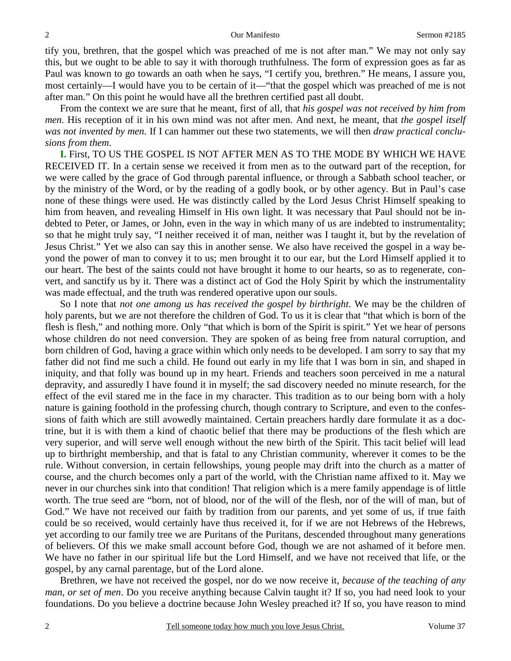tify you, brethren, that the gospel which was preached of me is not after man." We may not only say this, but we ought to be able to say it with thorough truthfulness. The form of expression goes as far as Paul was known to go towards an oath when he says, "I certify you, brethren." He means, I assure you, most certainly—I would have you to be certain of it—"that the gospel which was preached of me is not after man." On this point he would have all the brethren certified past all doubt.

 From the context we are sure that he meant, first of all, that *his gospel was not received by him from men*. His reception of it in his own mind was not after men. And next, he meant, that *the gospel itself was not invented by men*. If I can hammer out these two statements, we will then *draw practical conclusions from them*.

**I.** First, TO US THE GOSPEL IS NOT AFTER MEN AS TO THE MODE BY WHICH WE HAVE RECEIVED IT. In a certain sense we received it from men as to the outward part of the reception, for we were called by the grace of God through parental influence, or through a Sabbath school teacher, or by the ministry of the Word, or by the reading of a godly book, or by other agency. But in Paul's case none of these things were used. He was distinctly called by the Lord Jesus Christ Himself speaking to him from heaven, and revealing Himself in His own light. It was necessary that Paul should not be indebted to Peter, or James, or John, even in the way in which many of us are indebted to instrumentality; so that he might truly say, "I neither received it of man, neither was I taught it, but by the revelation of Jesus Christ." Yet we also can say this in another sense. We also have received the gospel in a way beyond the power of man to convey it to us; men brought it to our ear, but the Lord Himself applied it to our heart. The best of the saints could not have brought it home to our hearts, so as to regenerate, convert, and sanctify us by it. There was a distinct act of God the Holy Spirit by which the instrumentality was made effectual, and the truth was rendered operative upon our souls.

 So I note that *not one among us has received the gospel by birthright*. We may be the children of holy parents, but we are not therefore the children of God. To us it is clear that "that which is born of the flesh is flesh," and nothing more. Only "that which is born of the Spirit is spirit." Yet we hear of persons whose children do not need conversion. They are spoken of as being free from natural corruption, and born children of God, having a grace within which only needs to be developed. I am sorry to say that my father did not find me such a child. He found out early in my life that I was born in sin, and shaped in iniquity, and that folly was bound up in my heart. Friends and teachers soon perceived in me a natural depravity, and assuredly I have found it in myself; the sad discovery needed no minute research, for the effect of the evil stared me in the face in my character. This tradition as to our being born with a holy nature is gaining foothold in the professing church, though contrary to Scripture, and even to the confessions of faith which are still avowedly maintained. Certain preachers hardly dare formulate it as a doctrine, but it is with them a kind of chaotic belief that there may be productions of the flesh which are very superior, and will serve well enough without the new birth of the Spirit. This tacit belief will lead up to birthright membership, and that is fatal to any Christian community, wherever it comes to be the rule. Without conversion, in certain fellowships, young people may drift into the church as a matter of course, and the church becomes only a part of the world, with the Christian name affixed to it. May we never in our churches sink into that condition! That religion which is a mere family appendage is of little worth. The true seed are "born, not of blood, nor of the will of the flesh, nor of the will of man, but of God." We have not received our faith by tradition from our parents, and yet some of us, if true faith could be so received, would certainly have thus received it, for if we are not Hebrews of the Hebrews, yet according to our family tree we are Puritans of the Puritans, descended throughout many generations of believers. Of this we make small account before God, though we are not ashamed of it before men. We have no father in our spiritual life but the Lord Himself, and we have not received that life, or the gospel, by any carnal parentage, but of the Lord alone.

 Brethren, we have not received the gospel, nor do we now receive it, *because of the teaching of any man, or set of men*. Do you receive anything because Calvin taught it? If so, you had need look to your foundations. Do you believe a doctrine because John Wesley preached it? If so, you have reason to mind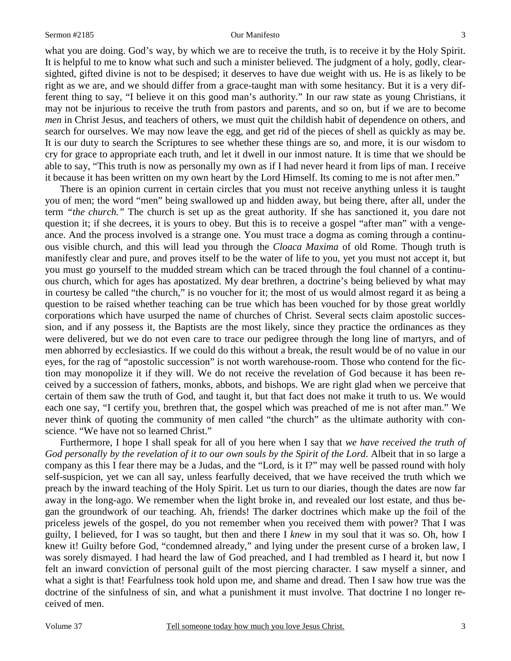what you are doing. God's way, by which we are to receive the truth, is to receive it by the Holy Spirit. It is helpful to me to know what such and such a minister believed. The judgment of a holy, godly, clearsighted, gifted divine is not to be despised; it deserves to have due weight with us. He is as likely to be right as we are, and we should differ from a grace-taught man with some hesitancy. But it is a very different thing to say, "I believe it on this good man's authority." In our raw state as young Christians, it may not be injurious to receive the truth from pastors and parents, and so on, but if we are to become *men* in Christ Jesus, and teachers of others, we must quit the childish habit of dependence on others, and search for ourselves. We may now leave the egg, and get rid of the pieces of shell as quickly as may be. It is our duty to search the Scriptures to see whether these things are so, and more, it is our wisdom to cry for grace to appropriate each truth, and let it dwell in our inmost nature. It is time that we should be able to say, "This truth is now as personally my own as if I had never heard it from lips of man. I receive it because it has been written on my own heart by the Lord Himself. Its coming to me is not after men."

 There is an opinion current in certain circles that you must not receive anything unless it is taught you of men; the word "men" being swallowed up and hidden away, but being there, after all, under the term *"the church."* The church is set up as the great authority. If she has sanctioned it, you dare not question it; if she decrees, it is yours to obey. But this is to receive a gospel "after man" with a vengeance. And the process involved is a strange one. You must trace a dogma as coming through a continuous visible church, and this will lead you through the *Cloaca Maxima* of old Rome. Though truth is manifestly clear and pure, and proves itself to be the water of life to you, yet you must not accept it, but you must go yourself to the mudded stream which can be traced through the foul channel of a continuous church, which for ages has apostatized. My dear brethren, a doctrine's being believed by what may in courtesy be called "the church," is no voucher for it; the most of us would almost regard it as being a question to be raised whether teaching can be true which has been vouched for by those great worldly corporations which have usurped the name of churches of Christ. Several sects claim apostolic succession, and if any possess it, the Baptists are the most likely, since they practice the ordinances as they were delivered, but we do not even care to trace our pedigree through the long line of martyrs, and of men abhorred by ecclesiastics. If we could do this without a break, the result would be of no value in our eyes, for the rag of "apostolic succession" is not worth warehouse-room. Those who contend for the fiction may monopolize it if they will. We do not receive the revelation of God because it has been received by a succession of fathers, monks, abbots, and bishops. We are right glad when we perceive that certain of them saw the truth of God, and taught it, but that fact does not make it truth to us. We would each one say, "I certify you, brethren that, the gospel which was preached of me is not after man." We never think of quoting the community of men called "the church" as the ultimate authority with conscience. "We have not so learned Christ."

 Furthermore, I hope I shall speak for all of you here when I say that *we have received the truth of God personally by the revelation of it to our own souls by the Spirit of the Lord*. Albeit that in so large a company as this I fear there may be a Judas, and the "Lord, is it I?" may well be passed round with holy self-suspicion, yet we can all say, unless fearfully deceived, that we have received the truth which we preach by the inward teaching of the Holy Spirit. Let us turn to our diaries, though the dates are now far away in the long-ago. We remember when the light broke in, and revealed our lost estate, and thus began the groundwork of our teaching. Ah, friends! The darker doctrines which make up the foil of the priceless jewels of the gospel, do you not remember when you received them with power? That I was guilty, I believed, for I was so taught, but then and there I *knew* in my soul that it was so. Oh, how I knew it! Guilty before God, "condemned already," and lying under the present curse of a broken law, I was sorely dismayed. I had heard the law of God preached, and I had trembled as I heard it, but now I felt an inward conviction of personal guilt of the most piercing character. I saw myself a sinner, and what a sight is that! Fearfulness took hold upon me, and shame and dread. Then I saw how true was the doctrine of the sinfulness of sin, and what a punishment it must involve. That doctrine I no longer received of men.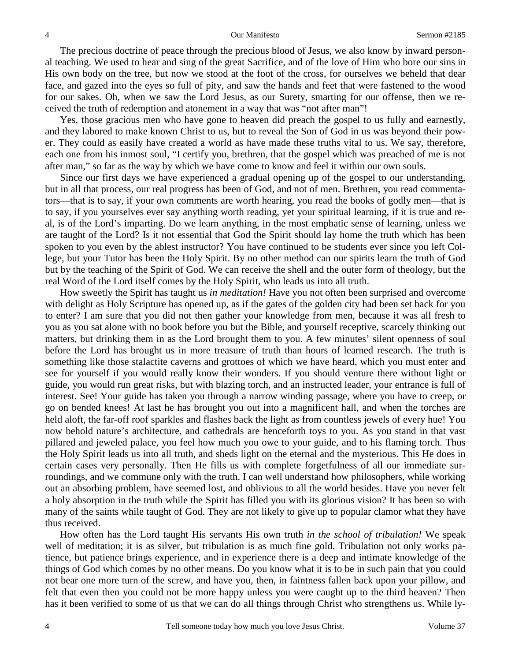The precious doctrine of peace through the precious blood of Jesus, we also know by inward personal teaching. We used to hear and sing of the great Sacrifice, and of the love of Him who bore our sins in His own body on the tree, but now we stood at the foot of the cross, for ourselves we beheld that dear face, and gazed into the eyes so full of pity, and saw the hands and feet that were fastened to the wood for our sakes. Oh, when we saw the Lord Jesus, as our Surety, smarting for our offense, then we received the truth of redemption and atonement in a way that was "not after man"!

 Yes, those gracious men who have gone to heaven did preach the gospel to us fully and earnestly, and they labored to make known Christ to us, but to reveal the Son of God in us was beyond their power. They could as easily have created a world as have made these truths vital to us. We say, therefore, each one from his inmost soul, "I certify you, brethren, that the gospel which was preached of me is not after man," so far as the way by which we have come to know and feel it within our own souls.

 Since our first days we have experienced a gradual opening up of the gospel to our understanding, but in all that process, our real progress has been of God, and not of men. Brethren, you read commentators—that is to say, if your own comments are worth hearing, you read the books of godly men—that is to say, if you yourselves ever say anything worth reading, yet your spiritual learning, if it is true and real, is of the Lord's imparting. Do we learn anything, in the most emphatic sense of learning, unless we are taught of the Lord? Is it not essential that God the Spirit should lay home the truth which has been spoken to you even by the ablest instructor? You have continued to be students ever since you left College, but your Tutor has been the Holy Spirit. By no other method can our spirits learn the truth of God but by the teaching of the Spirit of God. We can receive the shell and the outer form of theology, but the real Word of the Lord itself comes by the Holy Spirit, who leads us into all truth.

 How sweetly the Spirit has taught us *in meditation!* Have you not often been surprised and overcome with delight as Holy Scripture has opened up, as if the gates of the golden city had been set back for you to enter? I am sure that you did not then gather your knowledge from men, because it was all fresh to you as you sat alone with no book before you but the Bible, and yourself receptive, scarcely thinking out matters, but drinking them in as the Lord brought them to you. A few minutes' silent openness of soul before the Lord has brought us in more treasure of truth than hours of learned research. The truth is something like those stalactite caverns and grottoes of which we have heard, which you must enter and see for yourself if you would really know their wonders. If you should venture there without light or guide, you would run great risks, but with blazing torch, and an instructed leader, your entrance is full of interest. See! Your guide has taken you through a narrow winding passage, where you have to creep, or go on bended knees! At last he has brought you out into a magnificent hall, and when the torches are held aloft, the far-off roof sparkles and flashes back the light as from countless jewels of every hue! You now behold nature's architecture, and cathedrals are henceforth toys to you. As you stand in that vast pillared and jeweled palace, you feel how much you owe to your guide, and to his flaming torch. Thus the Holy Spirit leads us into all truth, and sheds light on the eternal and the mysterious. This He does in certain cases very personally. Then He fills us with complete forgetfulness of all our immediate surroundings, and we commune only with the truth. I can well understand how philosophers, while working out an absorbing problem, have seemed lost, and oblivious to all the world besides. Have you never felt a holy absorption in the truth while the Spirit has filled you with its glorious vision? It has been so with many of the saints while taught of God. They are not likely to give up to popular clamor what they have thus received.

 How often has the Lord taught His servants His own truth *in the school of tribulation!* We speak well of meditation; it is as silver, but tribulation is as much fine gold. Tribulation not only works patience, but patience brings experience, and in experience there is a deep and intimate knowledge of the things of God which comes by no other means. Do you know what it is to be in such pain that you could not bear one more turn of the screw, and have you, then, in faintness fallen back upon your pillow, and felt that even then you could not be more happy unless you were caught up to the third heaven? Then has it been verified to some of us that we can do all things through Christ who strengthens us. While ly-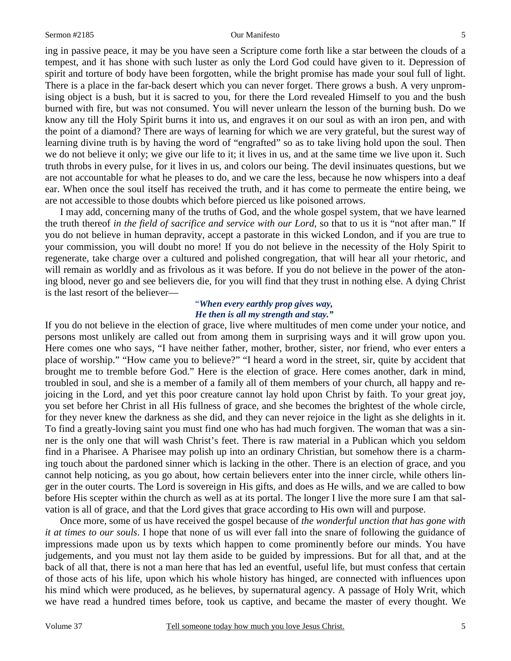ing in passive peace, it may be you have seen a Scripture come forth like a star between the clouds of a tempest, and it has shone with such luster as only the Lord God could have given to it. Depression of spirit and torture of body have been forgotten, while the bright promise has made your soul full of light. There is a place in the far-back desert which you can never forget. There grows a bush. A very unpromising object is a bush, but it is sacred to you, for there the Lord revealed Himself to you and the bush burned with fire, but was not consumed. You will never unlearn the lesson of the burning bush. Do we know any till the Holy Spirit burns it into us, and engraves it on our soul as with an iron pen, and with the point of a diamond? There are ways of learning for which we are very grateful, but the surest way of learning divine truth is by having the word of "engrafted" so as to take living hold upon the soul. Then we do not believe it only; we give our life to it; it lives in us, and at the same time we live upon it. Such truth throbs in every pulse, for it lives in us, and colors our being. The devil insinuates questions, but we are not accountable for what he pleases to do, and we care the less, because he now whispers into a deaf ear. When once the soul itself has received the truth, and it has come to permeate the entire being, we are not accessible to those doubts which before pierced us like poisoned arrows.

 I may add, concerning many of the truths of God, and the whole gospel system, that we have learned the truth thereof *in the field of sacrifice and service with our Lord,* so that to us it is "not after man." If you do not believe in human depravity, accept a pastorate in this wicked London, and if you are true to your commission, you will doubt no more! If you do not believe in the necessity of the Holy Spirit to regenerate, take charge over a cultured and polished congregation, that will hear all your rhetoric, and will remain as worldly and as frivolous as it was before. If you do not believe in the power of the atoning blood, never go and see believers die, for you will find that they trust in nothing else. A dying Christ is the last resort of the believer—

### "*When every earthly prop gives way, He then is all my strength and stay."*

If you do not believe in the election of grace, live where multitudes of men come under your notice, and persons most unlikely are called out from among them in surprising ways and it will grow upon you. Here comes one who says, "I have neither father, mother, brother, sister, nor friend, who ever enters a place of worship." "How came you to believe?" "I heard a word in the street, sir, quite by accident that brought me to tremble before God." Here is the election of grace. Here comes another, dark in mind, troubled in soul, and she is a member of a family all of them members of your church, all happy and rejoicing in the Lord, and yet this poor creature cannot lay hold upon Christ by faith. To your great joy, you set before her Christ in all His fullness of grace, and she becomes the brightest of the whole circle, for they never knew the darkness as she did, and they can never rejoice in the light as she delights in it. To find a greatly-loving saint you must find one who has had much forgiven. The woman that was a sinner is the only one that will wash Christ's feet. There is raw material in a Publican which you seldom find in a Pharisee. A Pharisee may polish up into an ordinary Christian, but somehow there is a charming touch about the pardoned sinner which is lacking in the other. There is an election of grace, and you cannot help noticing, as you go about, how certain believers enter into the inner circle, while others linger in the outer courts. The Lord is sovereign in His gifts, and does as He wills, and we are called to bow before His scepter within the church as well as at its portal. The longer I live the more sure I am that salvation is all of grace, and that the Lord gives that grace according to His own will and purpose.

 Once more, some of us have received the gospel because of *the wonderful unction that has gone with it at times to our souls*. I hope that none of us will ever fall into the snare of following the guidance of impressions made upon us by texts which happen to come prominently before our minds. You have judgements, and you must not lay them aside to be guided by impressions. But for all that, and at the back of all that, there is not a man here that has led an eventful, useful life, but must confess that certain of those acts of his life, upon which his whole history has hinged, are connected with influences upon his mind which were produced, as he believes, by supernatural agency. A passage of Holy Writ, which we have read a hundred times before, took us captive, and became the master of every thought. We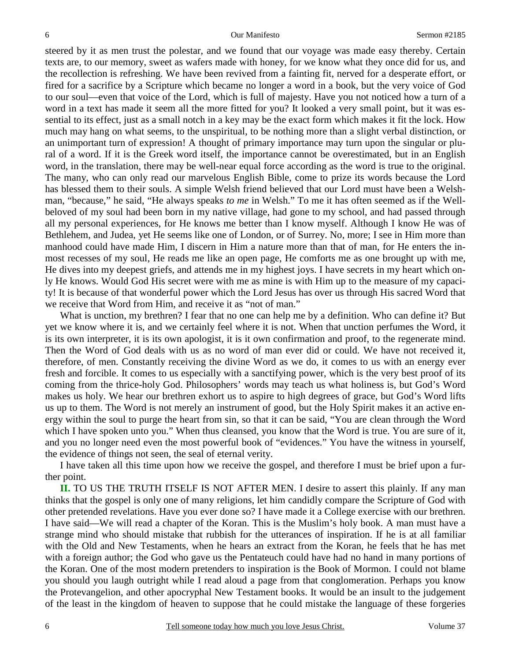steered by it as men trust the polestar, and we found that our voyage was made easy thereby. Certain texts are, to our memory, sweet as wafers made with honey, for we know what they once did for us, and the recollection is refreshing. We have been revived from a fainting fit, nerved for a desperate effort, or fired for a sacrifice by a Scripture which became no longer a word in a book, but the very voice of God to our soul—even that voice of the Lord, which is full of majesty. Have you not noticed how a turn of a word in a text has made it seem all the more fitted for you? It looked a very small point, but it was essential to its effect, just as a small notch in a key may be the exact form which makes it fit the lock. How much may hang on what seems, to the unspiritual, to be nothing more than a slight verbal distinction, or an unimportant turn of expression! A thought of primary importance may turn upon the singular or plural of a word. If it is the Greek word itself, the importance cannot be overestimated, but in an English word, in the translation, there may be well-near equal force according as the word is true to the original. The many, who can only read our marvelous English Bible, come to prize its words because the Lord has blessed them to their souls. A simple Welsh friend believed that our Lord must have been a Welshman, "because," he said, "He always speaks *to me* in Welsh." To me it has often seemed as if the Wellbeloved of my soul had been born in my native village, had gone to my school, and had passed through all my personal experiences, for He knows me better than I know myself. Although I know He was of Bethlehem, and Judea, yet He seems like one of London, or of Surrey. No, more; I see in Him more than manhood could have made Him, I discern in Him a nature more than that of man, for He enters the inmost recesses of my soul, He reads me like an open page, He comforts me as one brought up with me, He dives into my deepest griefs, and attends me in my highest joys. I have secrets in my heart which only He knows. Would God His secret were with me as mine is with Him up to the measure of my capacity! It is because of that wonderful power which the Lord Jesus has over us through His sacred Word that we receive that Word from Him, and receive it as "not of man."

 What is unction, my brethren? I fear that no one can help me by a definition. Who can define it? But yet we know where it is, and we certainly feel where it is not. When that unction perfumes the Word, it is its own interpreter, it is its own apologist, it is it own confirmation and proof, to the regenerate mind. Then the Word of God deals with us as no word of man ever did or could. We have not received it, therefore, of men. Constantly receiving the divine Word as we do, it comes to us with an energy ever fresh and forcible. It comes to us especially with a sanctifying power, which is the very best proof of its coming from the thrice-holy God. Philosophers' words may teach us what holiness is, but God's Word makes us holy. We hear our brethren exhort us to aspire to high degrees of grace, but God's Word lifts us up to them. The Word is not merely an instrument of good, but the Holy Spirit makes it an active energy within the soul to purge the heart from sin, so that it can be said, "You are clean through the Word which I have spoken unto you." When thus cleansed, you know that the Word is true. You are sure of it, and you no longer need even the most powerful book of "evidences." You have the witness in yourself, the evidence of things not seen, the seal of eternal verity.

 I have taken all this time upon how we receive the gospel, and therefore I must be brief upon a further point.

**II.** TO US THE TRUTH ITSELF IS NOT AFTER MEN. I desire to assert this plainly. If any man thinks that the gospel is only one of many religions, let him candidly compare the Scripture of God with other pretended revelations. Have you ever done so? I have made it a College exercise with our brethren. I have said—We will read a chapter of the Koran. This is the Muslim's holy book. A man must have a strange mind who should mistake that rubbish for the utterances of inspiration. If he is at all familiar with the Old and New Testaments, when he hears an extract from the Koran, he feels that he has met with a foreign author; the God who gave us the Pentateuch could have had no hand in many portions of the Koran. One of the most modern pretenders to inspiration is the Book of Mormon. I could not blame you should you laugh outright while I read aloud a page from that conglomeration. Perhaps you know the Protevangelion, and other apocryphal New Testament books. It would be an insult to the judgement of the least in the kingdom of heaven to suppose that he could mistake the language of these forgeries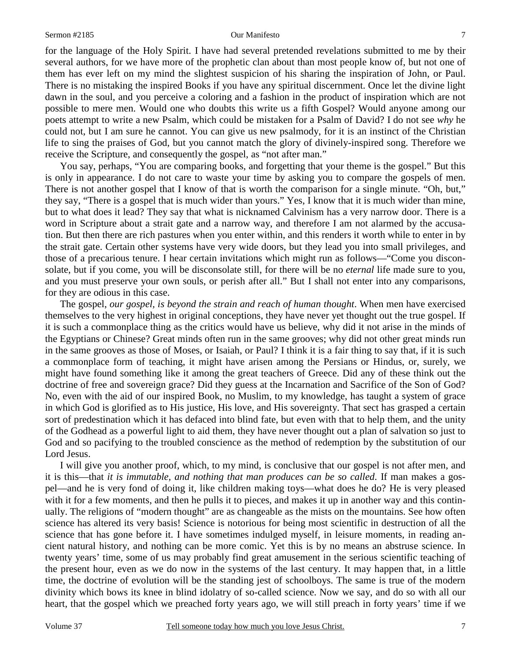for the language of the Holy Spirit. I have had several pretended revelations submitted to me by their several authors, for we have more of the prophetic clan about than most people know of, but not one of them has ever left on my mind the slightest suspicion of his sharing the inspiration of John, or Paul. There is no mistaking the inspired Books if you have any spiritual discernment. Once let the divine light dawn in the soul, and you perceive a coloring and a fashion in the product of inspiration which are not possible to mere men. Would one who doubts this write us a fifth Gospel? Would anyone among our poets attempt to write a new Psalm, which could be mistaken for a Psalm of David? I do not see *why* he could not, but I am sure he cannot. You can give us new psalmody, for it is an instinct of the Christian life to sing the praises of God, but you cannot match the glory of divinely-inspired song. Therefore we receive the Scripture, and consequently the gospel, as "not after man."

 You say, perhaps, "You are comparing books, and forgetting that your theme is the gospel." But this is only in appearance. I do not care to waste your time by asking you to compare the gospels of men. There is not another gospel that I know of that is worth the comparison for a single minute. "Oh, but," they say, "There is a gospel that is much wider than yours." Yes, I know that it is much wider than mine, but to what does it lead? They say that what is nicknamed Calvinism has a very narrow door. There is a word in Scripture about a strait gate and a narrow way, and therefore I am not alarmed by the accusation. But then there are rich pastures when you enter within, and this renders it worth while to enter in by the strait gate. Certain other systems have very wide doors, but they lead you into small privileges, and those of a precarious tenure. I hear certain invitations which might run as follows—"Come you disconsolate, but if you come, you will be disconsolate still, for there will be no *eternal* life made sure to you, and you must preserve your own souls, or perish after all." But I shall not enter into any comparisons, for they are odious in this case.

 The gospel, *our gospel, is beyond the strain and reach of human thought*. When men have exercised themselves to the very highest in original conceptions, they have never yet thought out the true gospel. If it is such a commonplace thing as the critics would have us believe, why did it not arise in the minds of the Egyptians or Chinese? Great minds often run in the same grooves; why did not other great minds run in the same grooves as those of Moses, or Isaiah, or Paul? I think it is a fair thing to say that, if it is such a commonplace form of teaching, it might have arisen among the Persians or Hindus, or, surely, we might have found something like it among the great teachers of Greece. Did any of these think out the doctrine of free and sovereign grace? Did they guess at the Incarnation and Sacrifice of the Son of God? No, even with the aid of our inspired Book, no Muslim, to my knowledge, has taught a system of grace in which God is glorified as to His justice, His love, and His sovereignty. That sect has grasped a certain sort of predestination which it has defaced into blind fate, but even with that to help them, and the unity of the Godhead as a powerful light to aid them, they have never thought out a plan of salvation so just to God and so pacifying to the troubled conscience as the method of redemption by the substitution of our Lord Jesus.

 I will give you another proof, which, to my mind, is conclusive that our gospel is not after men, and it is this—that *it is immutable, and nothing that man produces can be so called*. If man makes a gospel—and he is very fond of doing it, like children making toys—what does he do? He is very pleased with it for a few moments, and then he pulls it to pieces, and makes it up in another way and this continually. The religions of "modern thought" are as changeable as the mists on the mountains. See how often science has altered its very basis! Science is notorious for being most scientific in destruction of all the science that has gone before it. I have sometimes indulged myself, in leisure moments, in reading ancient natural history, and nothing can be more comic. Yet this is by no means an abstruse science. In twenty years' time, some of us may probably find great amusement in the serious scientific teaching of the present hour, even as we do now in the systems of the last century. It may happen that, in a little time, the doctrine of evolution will be the standing jest of schoolboys. The same is true of the modern divinity which bows its knee in blind idolatry of so-called science. Now we say, and do so with all our heart, that the gospel which we preached forty years ago, we will still preach in forty years' time if we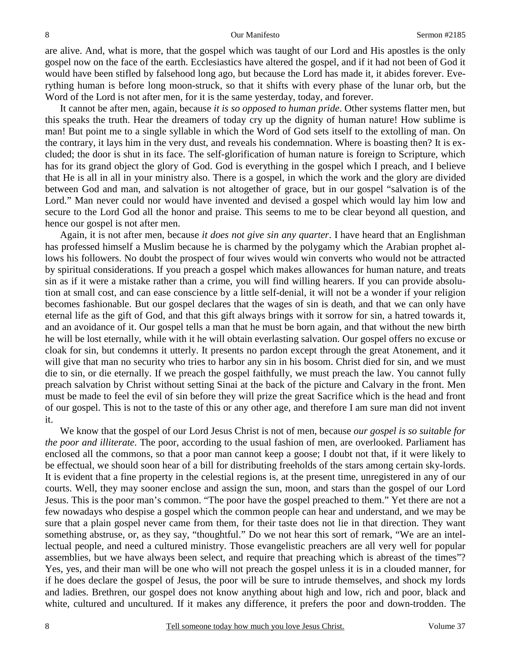### 8 **8** Sermon #2185

are alive. And, what is more, that the gospel which was taught of our Lord and His apostles is the only gospel now on the face of the earth. Ecclesiastics have altered the gospel, and if it had not been of God it would have been stifled by falsehood long ago, but because the Lord has made it, it abides forever. Everything human is before long moon-struck, so that it shifts with every phase of the lunar orb, but the Word of the Lord is not after men, for it is the same yesterday, today, and forever.

 It cannot be after men, again, because *it is so opposed to human pride*. Other systems flatter men, but this speaks the truth. Hear the dreamers of today cry up the dignity of human nature! How sublime is man! But point me to a single syllable in which the Word of God sets itself to the extolling of man. On the contrary, it lays him in the very dust, and reveals his condemnation. Where is boasting then? It is excluded; the door is shut in its face. The self-glorification of human nature is foreign to Scripture, which has for its grand object the glory of God. God is everything in the gospel which I preach, and I believe that He is all in all in your ministry also. There is a gospel, in which the work and the glory are divided between God and man, and salvation is not altogether of grace, but in our gospel "salvation is of the Lord." Man never could nor would have invented and devised a gospel which would lay him low and secure to the Lord God all the honor and praise. This seems to me to be clear beyond all question, and hence our gospel is not after men.

 Again, it is not after men, because *it does not give sin any quarter*. I have heard that an Englishman has professed himself a Muslim because he is charmed by the polygamy which the Arabian prophet allows his followers. No doubt the prospect of four wives would win converts who would not be attracted by spiritual considerations. If you preach a gospel which makes allowances for human nature, and treats sin as if it were a mistake rather than a crime, you will find willing hearers. If you can provide absolution at small cost, and can ease conscience by a little self-denial, it will not be a wonder if your religion becomes fashionable. But our gospel declares that the wages of sin is death, and that we can only have eternal life as the gift of God, and that this gift always brings with it sorrow for sin, a hatred towards it, and an avoidance of it. Our gospel tells a man that he must be born again, and that without the new birth he will be lost eternally, while with it he will obtain everlasting salvation. Our gospel offers no excuse or cloak for sin, but condemns it utterly. It presents no pardon except through the great Atonement, and it will give that man no security who tries to harbor any sin in his bosom. Christ died for sin, and we must die to sin, or die eternally. If we preach the gospel faithfully, we must preach the law. You cannot fully preach salvation by Christ without setting Sinai at the back of the picture and Calvary in the front. Men must be made to feel the evil of sin before they will prize the great Sacrifice which is the head and front of our gospel. This is not to the taste of this or any other age, and therefore I am sure man did not invent it.

 We know that the gospel of our Lord Jesus Christ is not of men, because *our gospel is so suitable for the poor and illiterate*. The poor, according to the usual fashion of men, are overlooked. Parliament has enclosed all the commons, so that a poor man cannot keep a goose; I doubt not that, if it were likely to be effectual, we should soon hear of a bill for distributing freeholds of the stars among certain sky-lords. It is evident that a fine property in the celestial regions is, at the present time, unregistered in any of our courts. Well, they may sooner enclose and assign the sun, moon, and stars than the gospel of our Lord Jesus. This is the poor man's common. "The poor have the gospel preached to them." Yet there are not a few nowadays who despise a gospel which the common people can hear and understand, and we may be sure that a plain gospel never came from them, for their taste does not lie in that direction. They want something abstruse, or, as they say, "thoughtful." Do we not hear this sort of remark, "We are an intellectual people, and need a cultured ministry. Those evangelistic preachers are all very well for popular assemblies, but we have always been select, and require that preaching which is abreast of the times"? Yes, yes, and their man will be one who will not preach the gospel unless it is in a clouded manner, for if he does declare the gospel of Jesus, the poor will be sure to intrude themselves, and shock my lords and ladies. Brethren, our gospel does not know anything about high and low, rich and poor, black and white, cultured and uncultured. If it makes any difference, it prefers the poor and down-trodden. The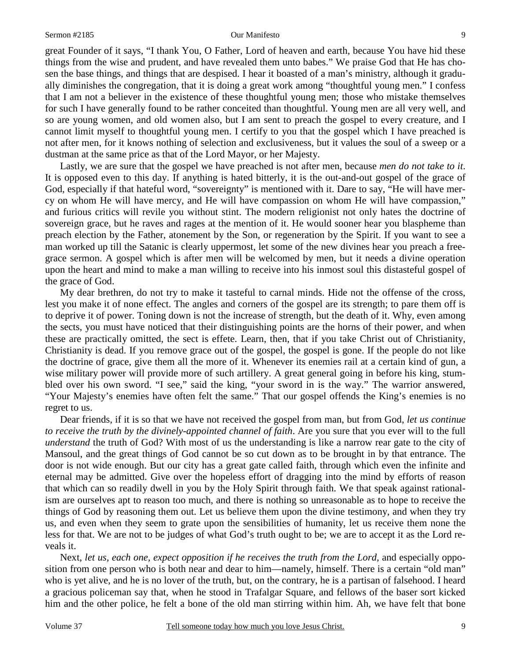great Founder of it says, "I thank You, O Father, Lord of heaven and earth, because You have hid these things from the wise and prudent, and have revealed them unto babes." We praise God that He has chosen the base things, and things that are despised. I hear it boasted of a man's ministry, although it gradually diminishes the congregation, that it is doing a great work among "thoughtful young men." I confess that I am not a believer in the existence of these thoughtful young men; those who mistake themselves for such I have generally found to be rather conceited than thoughtful. Young men are all very well, and so are young women, and old women also, but I am sent to preach the gospel to every creature, and I cannot limit myself to thoughtful young men. I certify to you that the gospel which I have preached is not after men, for it knows nothing of selection and exclusiveness, but it values the soul of a sweep or a dustman at the same price as that of the Lord Mayor, or her Majesty.

 Lastly, we are sure that the gospel we have preached is not after men, because *men do not take to it*. It is opposed even to this day. If anything is hated bitterly, it is the out-and-out gospel of the grace of God, especially if that hateful word, "sovereignty" is mentioned with it. Dare to say, "He will have mercy on whom He will have mercy, and He will have compassion on whom He will have compassion," and furious critics will revile you without stint. The modern religionist not only hates the doctrine of sovereign grace, but he raves and rages at the mention of it. He would sooner hear you blaspheme than preach election by the Father, atonement by the Son, or regeneration by the Spirit. If you want to see a man worked up till the Satanic is clearly uppermost, let some of the new divines hear you preach a freegrace sermon. A gospel which is after men will be welcomed by men, but it needs a divine operation upon the heart and mind to make a man willing to receive into his inmost soul this distasteful gospel of the grace of God.

 My dear brethren, do not try to make it tasteful to carnal minds. Hide not the offense of the cross, lest you make it of none effect. The angles and corners of the gospel are its strength; to pare them off is to deprive it of power. Toning down is not the increase of strength, but the death of it. Why, even among the sects, you must have noticed that their distinguishing points are the horns of their power, and when these are practically omitted, the sect is effete. Learn, then, that if you take Christ out of Christianity, Christianity is dead. If you remove grace out of the gospel, the gospel is gone. If the people do not like the doctrine of grace, give them all the more of it. Whenever its enemies rail at a certain kind of gun, a wise military power will provide more of such artillery. A great general going in before his king, stumbled over his own sword. "I see," said the king, "your sword in is the way." The warrior answered, "Your Majesty's enemies have often felt the same." That our gospel offends the King's enemies is no regret to us.

 Dear friends, if it is so that we have not received the gospel from man, but from God, *let us continue to receive the truth by the divinely-appointed channel of faith*. Are you sure that you ever will to the full *understand* the truth of God? With most of us the understanding is like a narrow rear gate to the city of Mansoul, and the great things of God cannot be so cut down as to be brought in by that entrance. The door is not wide enough. But our city has a great gate called faith, through which even the infinite and eternal may be admitted. Give over the hopeless effort of dragging into the mind by efforts of reason that which can so readily dwell in you by the Holy Spirit through faith. We that speak against rationalism are ourselves apt to reason too much, and there is nothing so unreasonable as to hope to receive the things of God by reasoning them out. Let us believe them upon the divine testimony, and when they try us, and even when they seem to grate upon the sensibilities of humanity, let us receive them none the less for that. We are not to be judges of what God's truth ought to be; we are to accept it as the Lord reveals it.

 Next, *let us, each one, expect opposition if he receives the truth from the Lord,* and especially opposition from one person who is both near and dear to him—namely, himself. There is a certain "old man" who is yet alive, and he is no lover of the truth, but, on the contrary, he is a partisan of falsehood. I heard a gracious policeman say that, when he stood in Trafalgar Square, and fellows of the baser sort kicked him and the other police, he felt a bone of the old man stirring within him. Ah, we have felt that bone